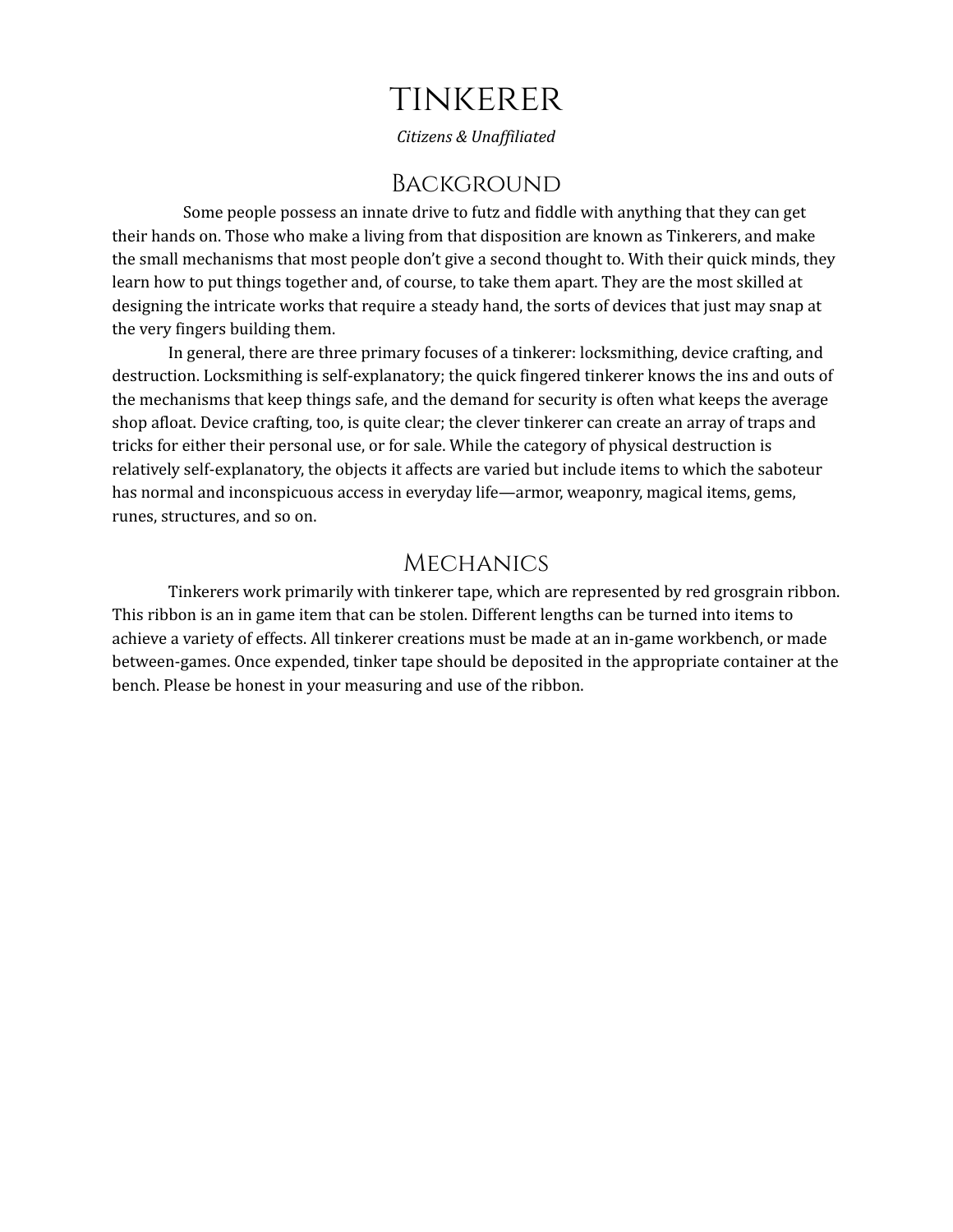# tinkerer

*Citizens & Unaf iliated*

### **BACKGROUND**

Some people possess an innate drive to futz and fiddle with anything that they can get their hands on. Those who make a living from that disposition are known as Tinkerers, and make the small mechanisms that most people don't give a second thought to. With their quick minds, they learn how to put things together and, of course, to take them apart. They are the most skilled at designing the intricate works that require a steady hand, the sorts of devices that just may snap at the very fingers building them.

In general, there are three primary focuses of a tinkerer: locksmithing, device crafting, and destruction. Locksmithing is self-explanatory; the quick fingered tinkerer knows the ins and outs of the mechanisms that keep things safe, and the demand for security is often what keeps the average shop afloat. Device crafting, too, is quite clear; the clever tinkerer can create an array of traps and tricks for either their personal use, or for sale. While the category of physical destruction is relatively self-explanatory, the objects it affects are varied but include items to which the saboteur has normal and inconspicuous access in everyday life—armor, weaponry, magical items, gems, runes, structures, and so on.

### **MECHANICS**

Tinkerers work primarily with tinkerer tape, which are represented by red grosgrain ribbon. This ribbon is an in game item that can be stolen. Different lengths can be turned into items to achieve a variety of effects. All tinkerer creations must be made at an in-game workbench, or made between-games. Once expended, tinker tape should be deposited in the appropriate container at the bench. Please be honest in your measuring and use of the ribbon.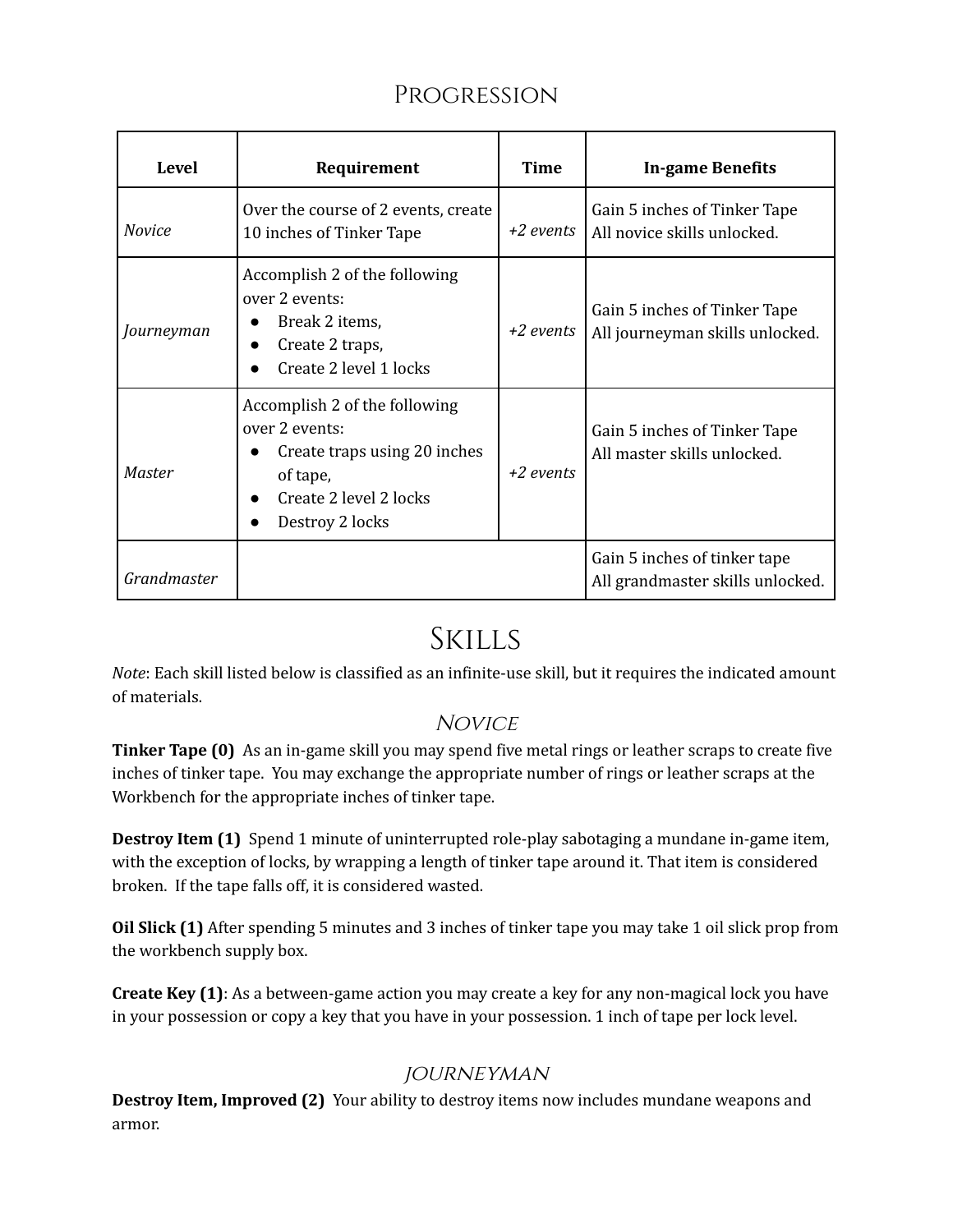# Progression

| Level         | Requirement                                                                                                                              | Time        | <b>In-game Benefits</b>                                          |
|---------------|------------------------------------------------------------------------------------------------------------------------------------------|-------------|------------------------------------------------------------------|
| <i>Novice</i> | Over the course of 2 events, create<br>10 inches of Tinker Tape                                                                          | +2 events   | Gain 5 inches of Tinker Tape<br>All novice skills unlocked.      |
| Journeyman    | Accomplish 2 of the following<br>over 2 events:<br>Break 2 items,<br>Create 2 traps,<br>Create 2 level 1 locks                           | $+2$ events | Gain 5 inches of Tinker Tape<br>All journeyman skills unlocked.  |
| <b>Master</b> | Accomplish 2 of the following<br>over 2 events:<br>Create traps using 20 inches<br>of tape,<br>Create 2 level 2 locks<br>Destroy 2 locks | $+2$ events | Gain 5 inches of Tinker Tape<br>All master skills unlocked.      |
| Grandmaster   |                                                                                                                                          |             | Gain 5 inches of tinker tape<br>All grandmaster skills unlocked. |

# Skills

*Note*: Each skill listed below is classified as an infinite-use skill, but it requires the indicated amount of materials.

## **NOVICE**

**Tinker Tape (0)** As an in-game skill you may spend five metal rings or leather scraps to create five inches of tinker tape. You may exchange the appropriate number of rings or leather scraps at the Workbench for the appropriate inches of tinker tape.

**Destroy Item (1)** Spend 1 minute of uninterrupted role-play sabotaging a mundane in-game item, with the exception of locks, by wrapping a length of tinker tape around it. That item is considered broken. If the tape falls off, it is considered wasted.

**Oil Slick (1)** After spending 5 minutes and 3 inches of tinker tape you may take 1 oil slick prop from the workbench supply box.

**Create Key (1)**: As a between-game action you may create a key for any non-magical lock you have in your possession or copy a key that you have in your possession. 1 inch of tape per lock level.

## journeyman

**Destroy Item, Improved (2)** Your ability to destroy items now includes mundane weapons and armor.